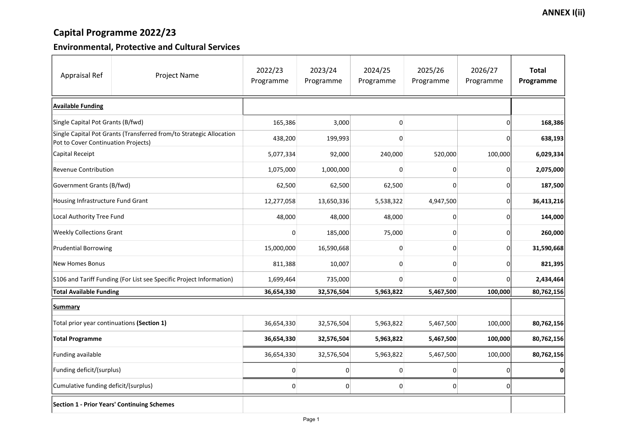## Capital Programme 2022/23

### Environmental, Protective and Cultural Services

| <b>Appraisal Ref</b><br><b>Project Name</b>                                                                | 2022/23<br>Programme | 2023/24<br>Programme | 2024/25<br>Programme | 2025/26<br>Programme | 2026/27<br>Programme | <b>Total</b><br>Programme |
|------------------------------------------------------------------------------------------------------------|----------------------|----------------------|----------------------|----------------------|----------------------|---------------------------|
| <b>Available Funding</b>                                                                                   |                      |                      |                      |                      |                      |                           |
| Single Capital Pot Grants (B/fwd)                                                                          | 165,386              | 3,000                | 0                    |                      |                      | 168,386                   |
| Single Capital Pot Grants (Transferred from/to Strategic Allocation<br>Pot to Cover Continuation Projects) | 438,200              | 199,993              | 0                    |                      | 0                    | 638,193                   |
| Capital Receipt                                                                                            | 5,077,334            | 92,000               | 240,000              | 520,000              | 100,000              | 6,029,334                 |
| Revenue Contribution                                                                                       | 1,075,000            | 1,000,000            | O                    | 0                    | 0                    | 2,075,000                 |
| Government Grants (B/fwd)                                                                                  | 62,500               | 62,500               | 62,500               | 0                    |                      | 187,500                   |
| Housing Infrastructure Fund Grant                                                                          | 12,277,058           | 13,650,336           | 5,538,322            | 4,947,500            | 0                    | 36,413,216                |
| Local Authority Tree Fund                                                                                  | 48,000               | 48,000               | 48,000               | 0                    |                      | 144,000                   |
| <b>Weekly Collections Grant</b>                                                                            |                      | 185,000              | 75,000               | 0                    | O                    | 260,000                   |
| <b>Prudential Borrowing</b>                                                                                | 15,000,000           | 16,590,668           |                      | 0                    | 0                    | 31,590,668                |
| New Homes Bonus                                                                                            | 811,388              | 10,007               | $\Omega$             | 0                    | O                    | 821,395                   |
| S106 and Tariff Funding (For List see Specific Project Information)                                        | 1,699,464            | 735,000              | 0                    | 0                    | 0                    | 2,434,464                 |
| <b>Total Available Funding</b>                                                                             | 36,654,330           | 32,576,504           | 5,963,822            | 5,467,500            | 100,000              | 80,762,156                |
| <b>Summary</b>                                                                                             |                      |                      |                      |                      |                      |                           |
| Total prior year continuations (Section 1)                                                                 | 36,654,330           | 32,576,504           | 5,963,822            | 5,467,500            | 100,000              | 80,762,156                |
| <b>Total Programme</b>                                                                                     | 36,654,330           | 32,576,504           | 5,963,822            | 5,467,500            | 100,000              | 80,762,156                |
| <b>Funding available</b>                                                                                   | 36,654,330           | 32,576,504           | 5,963,822            | 5,467,500            | 100,000              | 80,762,156                |
| Funding deficit/(surplus)                                                                                  |                      |                      |                      |                      |                      | $\mathbf 0$               |
| Cumulative funding deficit/(surplus)                                                                       | 0                    | $\boldsymbol{0}$     | 0                    | 0                    | 0                    |                           |
| Section 1 - Prior Years' Continuing Schemes                                                                |                      |                      |                      |                      |                      |                           |

### **ANNEX I(ii)**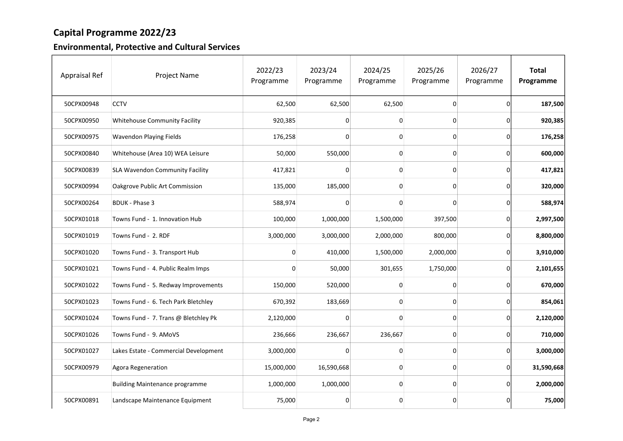## Capital Programme 2022/23

### Environmental, Protective and Cultural Services

| <b>Appraisal Ref</b> | <b>Project Name</b>                    | 2022/23<br>Programme | 2023/24<br>Programme | 2024/25<br>Programme | 2025/26<br>Programme | 2026/27<br>Programme | <b>Total</b><br>Programme |
|----------------------|----------------------------------------|----------------------|----------------------|----------------------|----------------------|----------------------|---------------------------|
| 50CPX00948           | <b>CCTV</b>                            | 62,500               | 62,500               | 62,500               | $\boldsymbol{0}$     | 0                    | 187,500                   |
| 50CPX00950           | <b>Whitehouse Community Facility</b>   | 920,385              | 0                    | 0                    | $\mathbf 0$          | 0                    | 920,385                   |
| 50CPX00975           | <b>Wavendon Playing Fields</b>         | 176,258              | 0                    |                      | 0                    | 0                    | 176,258                   |
| 50CPX00840           | Whitehouse (Area 10) WEA Leisure       | 50,000               | 550,000              |                      | $\overline{0}$       | 0                    | 600,000                   |
| 50CPX00839           | <b>SLA Wavendon Community Facility</b> | 417,821              | 0                    | 0                    | $\mathbf 0$          | 0                    | 417,821                   |
| 50CPX00994           | Oakgrove Public Art Commission         | 135,000              | 185,000              | 0                    | $\overline{0}$       | 0                    | 320,000                   |
| 50CPX00264           | <b>BDUK - Phase 3</b>                  | 588,974              | O                    |                      | $\Omega$             | 0                    | 588,974                   |
| 50CPX01018           | Towns Fund - 1. Innovation Hub         | 100,000              | 1,000,000            | 1,500,000            | 397,500              | 0                    | 2,997,500                 |
| 50CPX01019           | Towns Fund - 2. RDF                    | 3,000,000            | 3,000,000            | 2,000,000            | 800,000              | 0                    | 8,800,000                 |
| 50CPX01020           | Towns Fund - 3. Transport Hub          |                      | 410,000              | 1,500,000            | 2,000,000            | 0                    | 3,910,000                 |
| 50CPX01021           | Towns Fund - 4. Public Realm Imps      | 0                    | 50,000               | 301,655              | 1,750,000            | 0                    | 2,101,655                 |
| 50CPX01022           | Towns Fund - 5. Redway Improvements    | 150,000              | 520,000              |                      | 0                    | 0                    | 670,000                   |
| 50CPX01023           | Towns Fund - 6. Tech Park Bletchley    | 670,392              | 183,669              |                      | $\boldsymbol{0}$     | 0                    | 854,061                   |
| 50CPX01024           | Towns Fund - 7. Trans @ Bletchley Pk   | 2,120,000            | 0                    | 0                    | $\mathbf 0$          | 0                    | 2,120,000                 |
| 50CPX01026           | Towns Fund - 9. AMoVS                  | 236,666              | 236,667              | 236,667              | 0                    | 0                    | 710,000                   |
| 50CPX01027           | Lakes Estate - Commercial Development  | 3,000,000            | 0                    |                      | $\overline{0}$       | 0                    | 3,000,000                 |
| 50CPX00979           | Agora Regeneration                     | 15,000,000           | 16,590,668           | 0                    | 0                    | 0                    | 31,590,668                |
|                      | <b>Building Maintenance programme</b>  | 1,000,000            | 1,000,000            | 0                    | $\boldsymbol{0}$     | 0                    | 2,000,000                 |
| 50CPX00891           | Landscape Maintenance Equipment        | 75,000               | 0                    |                      | $\overline{0}$       | 0                    | 75,000                    |